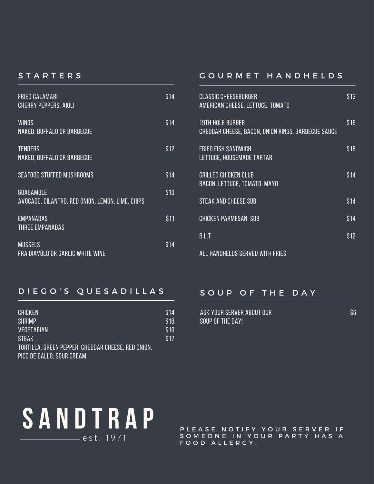### **STARTERS**

| <b>FRIED CALAMARI</b><br><b>CHERRY PEPPERS, AIOLI</b>                | \$14 |
|----------------------------------------------------------------------|------|
| <b>WINGS</b><br>NAKED, BUFFALO OR BARBECUE                           | \$14 |
| <b>TENDERS</b><br>NAKED, BUFFALO OR BARBECUE                         | \$12 |
| <b>SEAFOOD STUFFED MUSHROOMS</b>                                     | \$14 |
| <b>GUACAMOLE</b><br>AVOCADO, CILANTRO, RED ONION, LEMON, LIME, CHIPS | \$10 |
| <b>EMPANADAS</b><br>THREE EMPANADAS                                  | \$11 |
| <b>MUSSELS</b><br>FRA DIAVOLO OR GARLIC WHITE WINE                   | S 14 |

# G O U R M E T H A N D H E L D S

| <b>CLASSIC CHEESEBURGER</b><br>AMERICAN CHEESE, LETTUCE, TOMATO               | \$13 |
|-------------------------------------------------------------------------------|------|
| <b>19TH HOLE BURGER</b><br>CHEDDAR CHEESE, BACON, ONION RINGS, BARBECUE SAUCE | \$16 |
| <b>FRIED FISH SANDWICH</b><br>LETTUCE, HOUSEMADE TARTAR                       | S 16 |
| <b>GRILLED CHICKEN CLUB</b><br><b>BACON, LETTUCE, TOMATO, MAYO</b>            | S14  |
| <b>STEAK AND CHEESE SUB</b>                                                   | \$14 |
| <b>CHICKEN PARMESAN SUB</b>                                                   | \$14 |
| RI T                                                                          | \$12 |
|                                                                               |      |

all handhelds served with fries

# D I E G O ' S Q U E S A D I L L A S

| <b>CHICKEN</b><br><b>SHRIMP</b>                    | S14<br>\$18 |
|----------------------------------------------------|-------------|
| VEGETARIAN                                         | \$10        |
| <b>STEAK</b>                                       | \$17        |
| TORTILLA, GREEN PEPPER, CHEDDAR CHEESE, RED ONION. |             |
| PICO DE GALLO, SOUR CREAM                          |             |

## SOUP OF THE DAY

| ASK YOUR SERVER ABOUT OUR |  |
|---------------------------|--|
| SOUP OF THE DAY!          |  |

\$6



PLEASE NOTIFY YOUR SERVER IF SOMEONE IN YOUR PARTY HAS A FOOD ALLERGY.